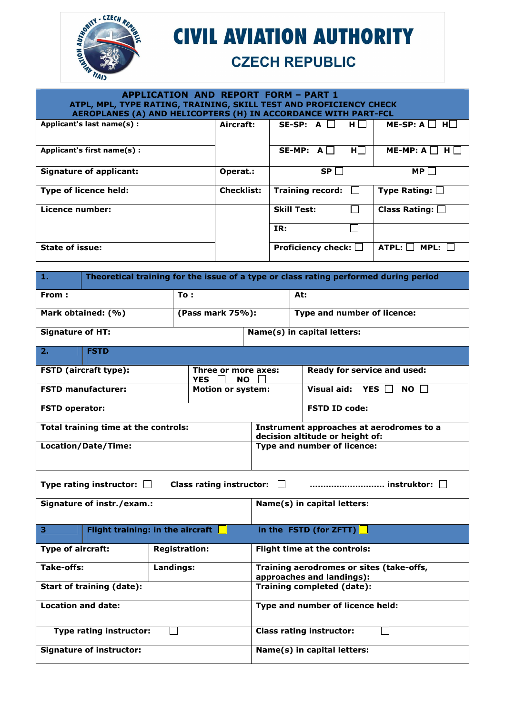

## **CIVIL AVIATION AUTHORITY**

## **CZECH REPUBLIC**

## **APPLICATION AND REPORT FORM – PART 1 ATPL, MPL, TYPE RATING, TRAINING, SKILL TEST AND PROFICIENCY CHECK AEROPLANES (A) AND HELICOPTERS (H) IN ACCORDANCE WITH PART-FCL**

| Applicant's last name(s):      | Aircraft:         | SE-SP: A<br>H <sub>1</sub>   | $ME-SP: A$<br>HI.       |
|--------------------------------|-------------------|------------------------------|-------------------------|
| Applicant's first name(s):     |                   | <b>SE-MP:</b><br>HI I<br>A   | $ME-MP: A$              |
| <b>Signature of applicant:</b> | Operat.:          | SP                           | <b>MP</b>               |
| <b>Type of licence held:</b>   | <b>Checklist:</b> | <b>Training record:</b>      | Type Rating: $\square$  |
| Licence number:                |                   | <b>Skill Test:</b>           | Class Rating: $\square$ |
|                                |                   | IR:                          |                         |
| <b>State of issue:</b>         |                   | Proficiency check: $\square$ | ATPL:<br><b>MPL:</b>    |

| ш.                               | Theoretical training for the issue of a type or class rating performed during period |                      |                                                |                                                                       |                                                                             |  |  |  |  |
|----------------------------------|--------------------------------------------------------------------------------------|----------------------|------------------------------------------------|-----------------------------------------------------------------------|-----------------------------------------------------------------------------|--|--|--|--|
| From:                            |                                                                                      | To:                  |                                                |                                                                       | At:                                                                         |  |  |  |  |
| Mark obtained: (%)               |                                                                                      | (Pass mark 75%):     |                                                | Type and number of licence:                                           |                                                                             |  |  |  |  |
| <b>Signature of HT:</b>          |                                                                                      |                      |                                                |                                                                       | Name(s) in capital letters:                                                 |  |  |  |  |
| $\overline{2}$ .                 | <b>FSTD</b>                                                                          |                      |                                                |                                                                       |                                                                             |  |  |  |  |
|                                  | FSTD (aircraft type):                                                                |                      | Three or more axes:<br><b>YES</b><br><b>NO</b> |                                                                       | Ready for service and used:                                                 |  |  |  |  |
|                                  | <b>FSTD manufacturer:</b>                                                            |                      | <b>Motion or system:</b>                       |                                                                       | Visual aid: $YES$<br>NO II                                                  |  |  |  |  |
| <b>FSTD operator:</b>            |                                                                                      |                      |                                                |                                                                       | <b>FSTD ID code:</b>                                                        |  |  |  |  |
|                                  | Total training time at the controls:                                                 |                      |                                                |                                                                       | Instrument approaches at aerodromes to a<br>decision altitude or height of: |  |  |  |  |
|                                  | Location/Date/Time:                                                                  |                      |                                                |                                                                       | Type and number of licence:                                                 |  |  |  |  |
|                                  |                                                                                      |                      |                                                |                                                                       |                                                                             |  |  |  |  |
|                                  | Type rating instructor: $\Box$                                                       |                      | Class rating instructor: $\Box$                |                                                                       |                                                                             |  |  |  |  |
|                                  | Signature of instr./exam.:                                                           |                      |                                                | Name(s) in capital letters:                                           |                                                                             |  |  |  |  |
| 3                                | Flight training: in the aircraft $\Box$                                              |                      |                                                |                                                                       | in the FSTD (for ZFTT) $\Box$                                               |  |  |  |  |
| Type of aircraft:                |                                                                                      | <b>Registration:</b> |                                                |                                                                       | Flight time at the controls:                                                |  |  |  |  |
| Take-offs:                       |                                                                                      | Landings:            |                                                | Training aerodromes or sites (take-offs,<br>approaches and landings): |                                                                             |  |  |  |  |
| <b>Start of training (date):</b> |                                                                                      |                      |                                                | Training completed (date):                                            |                                                                             |  |  |  |  |
| <b>Location and date:</b>        |                                                                                      |                      |                                                | Type and number of licence held:                                      |                                                                             |  |  |  |  |
|                                  | Type rating instructor:                                                              |                      |                                                | <b>Class rating instructor:</b>                                       |                                                                             |  |  |  |  |
| <b>Signature of instructor:</b>  |                                                                                      |                      |                                                | Name(s) in capital letters:                                           |                                                                             |  |  |  |  |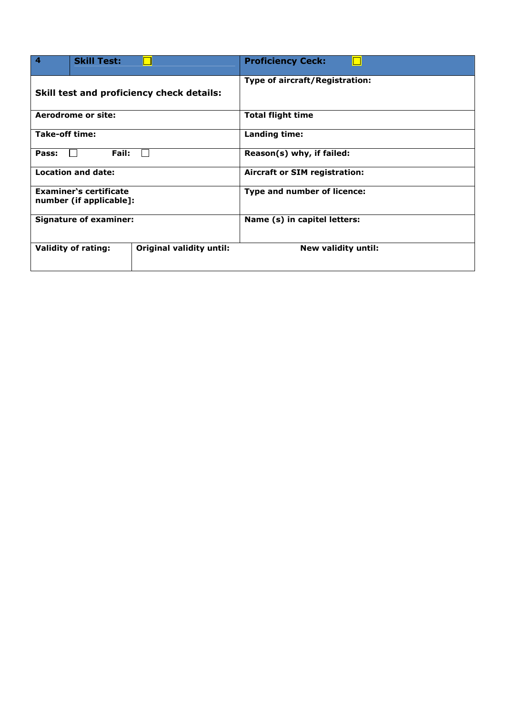| $\boldsymbol{4}$                          | <b>Skill Test:</b>                                       |                                 | <b>Proficiency Ceck:</b>             |
|-------------------------------------------|----------------------------------------------------------|---------------------------------|--------------------------------------|
| Skill test and proficiency check details: |                                                          |                                 | Type of aircraft/Registration:       |
|                                           | Aerodrome or site:                                       |                                 | <b>Total flight time</b>             |
| Take-off time:                            |                                                          |                                 | Landing time:                        |
| Pass:                                     | Fail:                                                    |                                 | Reason(s) why, if failed:            |
|                                           | Location and date:                                       |                                 | <b>Aircraft or SIM registration:</b> |
|                                           | <b>Examiner's certificate</b><br>number (if applicable]: |                                 | Type and number of licence:          |
|                                           | <b>Signature of examiner:</b>                            |                                 | Name (s) in capitel letters:         |
|                                           | <b>Validity of rating:</b>                               | <b>Original validity until:</b> | <b>New validity until:</b>           |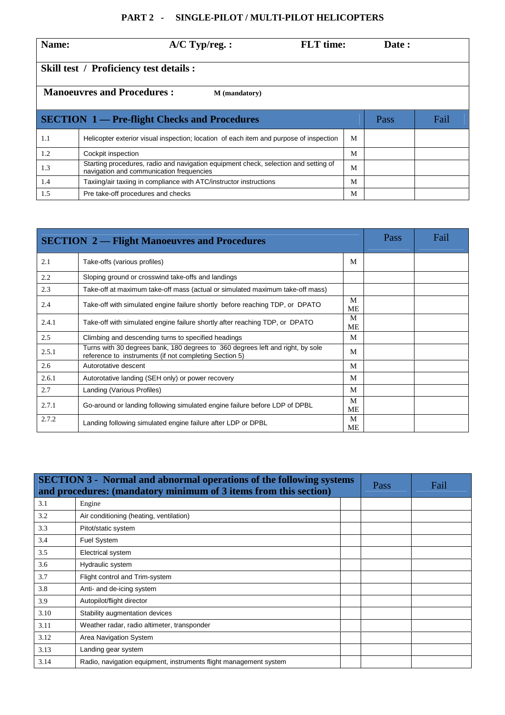## **PART 2 - SINGLE-PILOT / MULTI-PILOT HELICOPTERS**

| Name: | $A/C$ Typ/reg. :                                                                                                                | <b>FLT</b> time: | Date : |  |  |  |  |  |
|-------|---------------------------------------------------------------------------------------------------------------------------------|------------------|--------|--|--|--|--|--|
|       | <b>Skill test / Proficiency test details :</b>                                                                                  |                  |        |  |  |  |  |  |
|       | <b>Manoeuvres and Procedures:</b><br>M (mandatory)                                                                              |                  |        |  |  |  |  |  |
|       | <b>SECTION 1</b> — Pre-flight Checks and Procedures<br>Fail<br>Pass                                                             |                  |        |  |  |  |  |  |
| 1.1   | Helicopter exterior visual inspection; location of each item and purpose of inspection                                          | M                |        |  |  |  |  |  |
| 1.2   | Cockpit inspection                                                                                                              | M                |        |  |  |  |  |  |
| 1.3   | Starting procedures, radio and navigation equipment check, selection and setting of<br>navigation and communication frequencies | M                |        |  |  |  |  |  |
| 1.4   | Taxiing/air taxiing in compliance with ATC/instructor instructions                                                              | M                |        |  |  |  |  |  |
| 1.5   | Pre take-off procedures and checks                                                                                              | M                |        |  |  |  |  |  |

| <b>SECTION 2 — Flight Manoeuvres and Procedures</b> |                                                                                                                                          |                | Pass | Fail |
|-----------------------------------------------------|------------------------------------------------------------------------------------------------------------------------------------------|----------------|------|------|
| 2.1                                                 | Take-offs (various profiles)                                                                                                             | M              |      |      |
| 2.2                                                 | Sloping ground or crosswind take-offs and landings                                                                                       |                |      |      |
| 2.3                                                 | Take-off at maximum take-off mass (actual or simulated maximum take-off mass)                                                            |                |      |      |
| 2.4                                                 | Take-off with simulated engine failure shortly before reaching TDP, or DPATO                                                             | M<br>ME        |      |      |
| 2.4.1                                               | Take-off with simulated engine failure shortly after reaching TDP, or DPATO                                                              | M<br>ME        |      |      |
| 2.5                                                 | Climbing and descending turns to specified headings                                                                                      | M              |      |      |
| 2.5.1                                               | Turns with 30 degrees bank, 180 degrees to 360 degrees left and right, by sole<br>reference to instruments (if not completing Section 5) | M              |      |      |
| 2.6                                                 | Autorotative descent                                                                                                                     | M              |      |      |
| 2.6.1                                               | Autorotative landing (SEH only) or power recovery                                                                                        | M              |      |      |
| 2.7                                                 | Landing (Various Profiles)                                                                                                               | M              |      |      |
| 2.7.1                                               | Go-around or landing following simulated engine failure before LDP of DPBL                                                               | M<br><b>ME</b> |      |      |
| 2.7.2                                               | Landing following simulated engine failure after LDP or DPBL                                                                             | M<br><b>ME</b> |      |      |

|      | <b>SECTION 3 - Normal and abnormal operations of the following systems</b><br>and procedures: (mandatory minimum of 3 items from this section) |  |  | Fail |
|------|------------------------------------------------------------------------------------------------------------------------------------------------|--|--|------|
| 3.1  | Engine                                                                                                                                         |  |  |      |
| 3.2  | Air conditioning (heating, ventilation)                                                                                                        |  |  |      |
| 3.3  | Pitot/static system                                                                                                                            |  |  |      |
| 3.4  | <b>Fuel System</b>                                                                                                                             |  |  |      |
| 3.5  | Electrical system                                                                                                                              |  |  |      |
| 3.6  | Hydraulic system                                                                                                                               |  |  |      |
| 3.7  | Flight control and Trim-system                                                                                                                 |  |  |      |
| 3.8  | Anti- and de-icing system                                                                                                                      |  |  |      |
| 3.9  | Autopilot/flight director                                                                                                                      |  |  |      |
| 3.10 | Stability augmentation devices                                                                                                                 |  |  |      |
| 3.11 | Weather radar, radio altimeter, transponder                                                                                                    |  |  |      |
| 3.12 | Area Navigation System                                                                                                                         |  |  |      |
| 3.13 | Landing gear system                                                                                                                            |  |  |      |
| 3.14 | Radio, navigation equipment, instruments flight management system                                                                              |  |  |      |